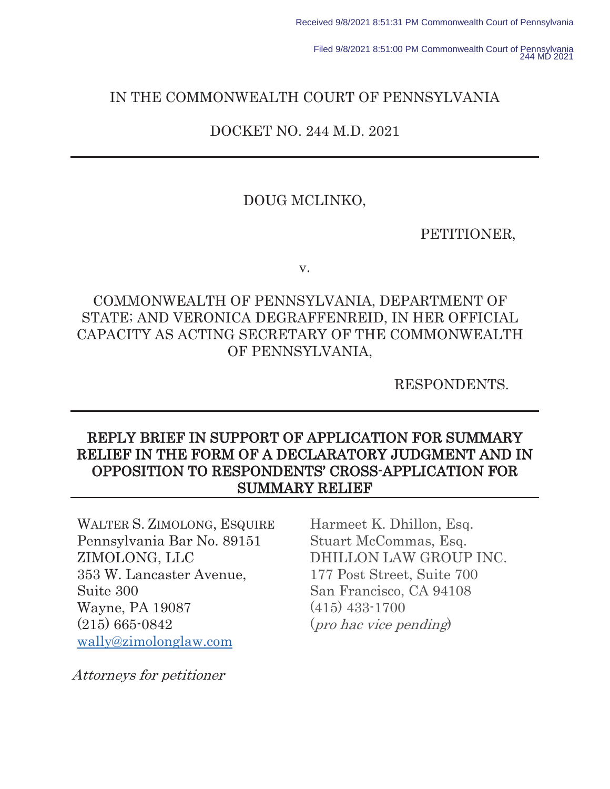Filed 9/8/2021 8:51:00 PM Commonwealth Court of Pennsylvania 244 MD 2021

### IN THE COMMONWEALTH COURT OF PENNSYLVANIA

### DOCKET NO. 244 M.D. 2021

### DOUG MCLINKO,

PETITIONER,

v.

# COMMONWEALTH OF PENNSYLVANIA, DEPARTMENT OF STATE; AND VERONICA DEGRAFFENREID, IN HER OFFICIAL CAPACITY AS ACTING SECRETARY OF THE COMMONWEALTH OF PENNSYLVANIA,

RESPONDENTS.

# REPLY BRIEF IN SUPPORT OF APPLICATION FOR SUMMARY RELIEF IN THE FORM OF A DECLARATORY JUDGMENT AND IN OPPOSITION TO RESPONDENTS' CROSS-APPLICATION FOR SUMMARY RELIEF

WALTER S. ZIMOLONG, ESQUIRE Pennsylvania Bar No. 89151 ZIMOLONG, LLC 353 W. Lancaster Avenue, Suite 300 Wayne, PA 19087 (215) 665-0842 wally@zimolonglaw.com

Harmeet K. Dhillon, Esq. Stuart McCommas, Esq. DHILLON LAW GROUP INC. 177 Post Street, Suite 700 San Francisco, CA 94108 (415) 433-1700 (pro hac vice pending)

Attorneys for petitioner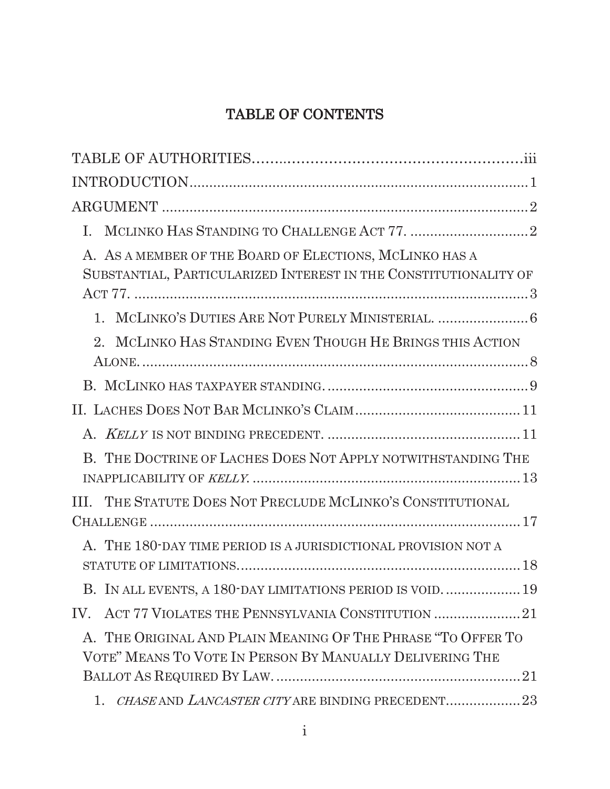# TABLE OF CONTENTS

| L.                                                                                                                          |
|-----------------------------------------------------------------------------------------------------------------------------|
| A. AS A MEMBER OF THE BOARD OF ELECTIONS, MCLINKO HAS A<br>SUBSTANTIAL, PARTICULARIZED INTEREST IN THE CONSTITUTIONALITY OF |
|                                                                                                                             |
| 2. MCLINKO HAS STANDING EVEN THOUGH HE BRINGS THIS ACTION                                                                   |
|                                                                                                                             |
|                                                                                                                             |
|                                                                                                                             |
| B. THE DOCTRINE OF LACHES DOES NOT APPLY NOTWITHSTANDING THE                                                                |
| III. THE STATUTE DOES NOT PRECLUDE MCLINKO'S CONSTITUTIONAL                                                                 |
|                                                                                                                             |
| A. THE 180-DAY TIME PERIOD IS A JURISDICTIONAL PROVISION NOT A                                                              |
| B. IN ALL EVENTS, A 180-DAY LIMITATIONS PERIOD IS VOID 19                                                                   |
|                                                                                                                             |
| A. THE ORIGINAL AND PLAIN MEANING OF THE PHRASE "TO OFFER TO<br>VOTE" MEANS TO VOTE IN PERSON BY MANUALLY DELIVERING THE    |
| CHASE AND LANCASTER CITY ARE BINDING PRECEDENT23<br>1.                                                                      |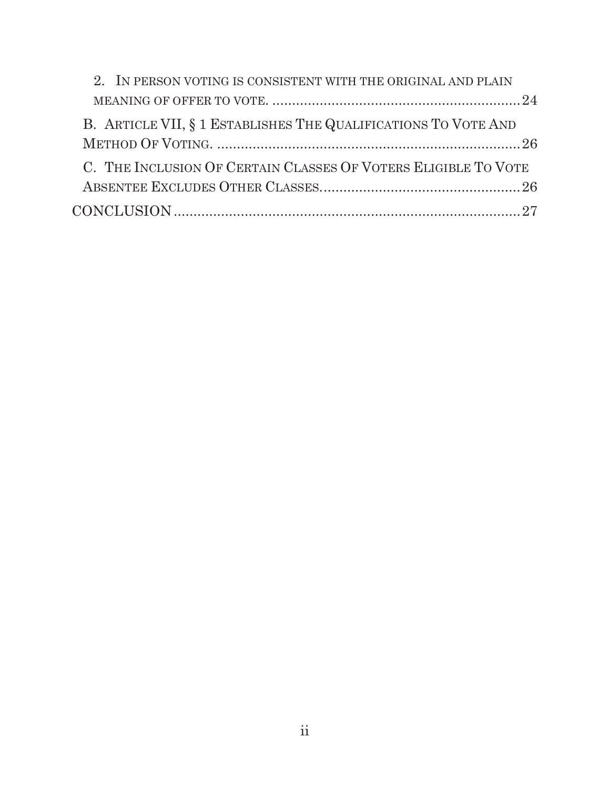| 2. IN PERSON VOTING IS CONSISTENT WITH THE ORIGINAL AND PLAIN  |  |
|----------------------------------------------------------------|--|
|                                                                |  |
| B. ARTICLE VII, § 1 ESTABLISHES THE QUALIFICATIONS TO VOTE AND |  |
|                                                                |  |
| C. THE INCLUSION OF CERTAIN CLASSES OF VOTERS ELIGIBLE TO VOTE |  |
|                                                                |  |
|                                                                |  |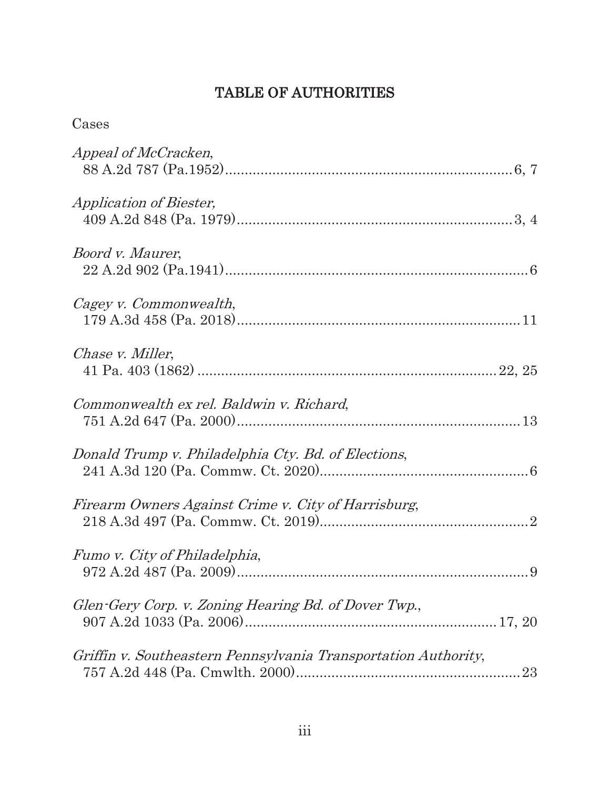# TABLE OF AUTHORITIES

| Cases                                                          |
|----------------------------------------------------------------|
| <i>Appeal of McCracken,</i>                                    |
| <i>Application of Biester,</i>                                 |
| <i>Boord v. Maurer,</i>                                        |
| Cagey v. Commonwealth,                                         |
| Chase v. Miller,                                               |
| Commonwealth ex rel. Baldwin v. Richard,                       |
| Donald Trump v. Philadelphia Cty. Bd. of Elections,            |
| Firearm Owners Against Crime v. City of Harrisburg,            |
| Fumo v. City of Philadelphia,                                  |
| Glen-Gery Corp. v. Zoning Hearing Bd. of Dover Twp.,           |
| Griffin v. Southeastern Pennsylvania Transportation Authority, |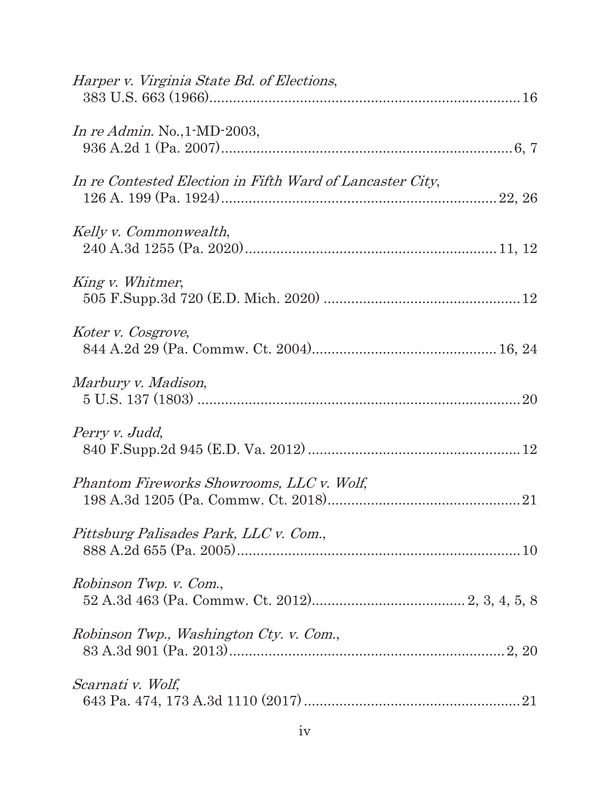| Harper v. Virginia State Bd. of Elections,                |
|-----------------------------------------------------------|
| In re Admin. No., $1-MD-2003$ ,                           |
| In re Contested Election in Fifth Ward of Lancaster City, |
| Kelly v. Commonwealth,                                    |
| King v. Whitmer,                                          |
| Koter v. Cosgrove,                                        |
| Marbury v. Madison,                                       |
| Perry v. Judd,                                            |
| Phantom Fireworks Showrooms, LLC v. Wolf,                 |
| Pittsburg Palisades Park, LLC v. Com.,                    |
| Robinson Twp. v. Com.,                                    |
| Robinson Twp., Washington Cty. v. Com.,                   |
| Scarnati v. Wolf,                                         |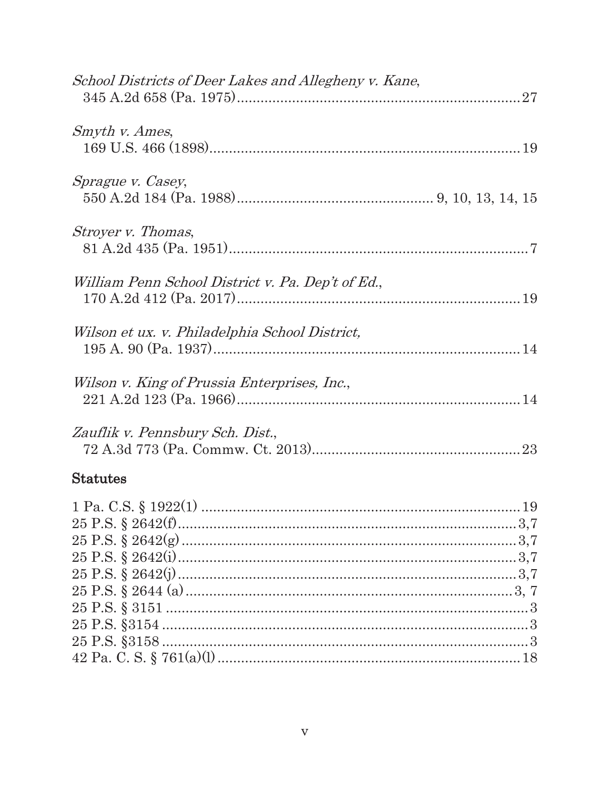| School Districts of Deer Lakes and Allegheny v. Kane, |  |
|-------------------------------------------------------|--|
| Smyth v. Ames,                                        |  |
| Sprague v. Casey,                                     |  |
| Stroyer v. Thomas,                                    |  |
| William Penn School District v. Pa. Dep't of Ed.,     |  |
| Wilson et ux. v. Philadelphia School District,        |  |
| Wilson v. King of Prussia Enterprises, Inc.,          |  |
| Zauflik v. Pennsbury Sch. Dist.,                      |  |
| <b>Statutes</b>                                       |  |
|                                                       |  |
|                                                       |  |
|                                                       |  |
|                                                       |  |
|                                                       |  |
|                                                       |  |
|                                                       |  |
|                                                       |  |
|                                                       |  |
|                                                       |  |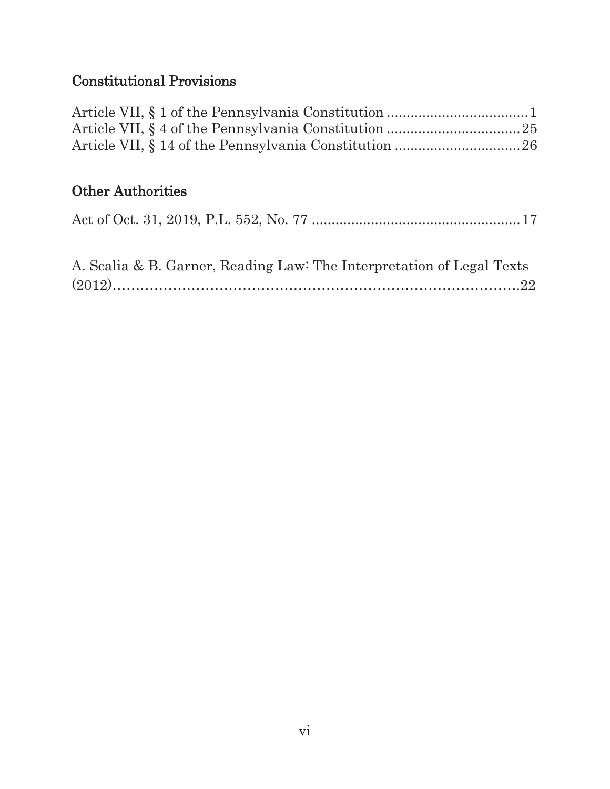# Constitutional Provisions

# Other Authorities

|--|--|--|--|--|

| A. Scalia & B. Garner, Reading Law: The Interpretation of Legal Texts |  |
|-----------------------------------------------------------------------|--|
|                                                                       |  |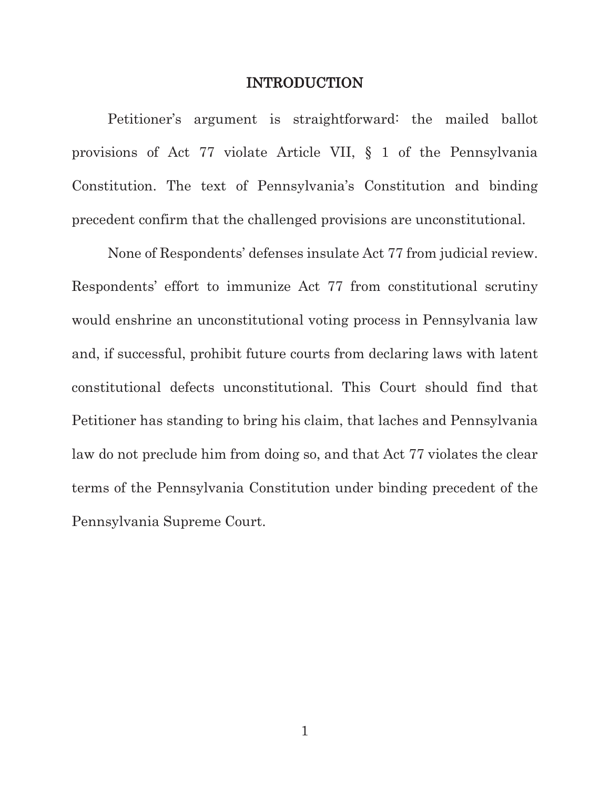#### INTRODUCTION

 Petitioner's argument is straightforward: the mailed ballot provisions of Act 77 violate Article VII, § 1 of the Pennsylvania Constitution. The text of Pennsylvania's Constitution and binding precedent confirm that the challenged provisions are unconstitutional.

None of Respondents' defenses insulate Act 77 from judicial review. Respondents' effort to immunize Act 77 from constitutional scrutiny would enshrine an unconstitutional voting process in Pennsylvania law and, if successful, prohibit future courts from declaring laws with latent constitutional defects unconstitutional. This Court should find that Petitioner has standing to bring his claim, that laches and Pennsylvania law do not preclude him from doing so, and that Act 77 violates the clear terms of the Pennsylvania Constitution under binding precedent of the Pennsylvania Supreme Court.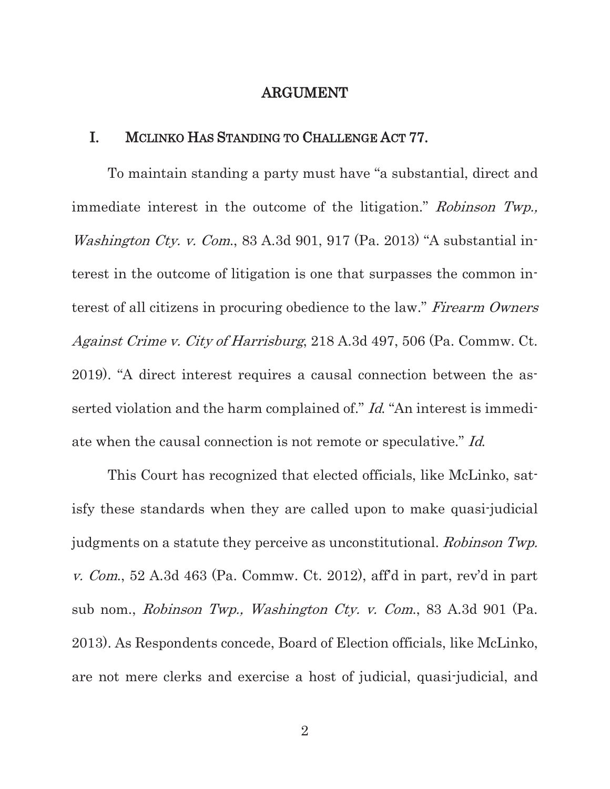### ARGUMENT

### I. MCLINKO HAS STANDING TO CHALLENGE ACT 77.

To maintain standing a party must have "a substantial, direct and immediate interest in the outcome of the litigation." Robinson Twp., *Washington Cty. v. Com.*, 83 A.3d 901, 917 (Pa. 2013) "A substantial interest in the outcome of litigation is one that surpasses the common interest of all citizens in procuring obedience to the law." Firearm Owners Against Crime v. City of Harrisburg, 218 A.3d 497, 506 (Pa. Commw. Ct. 2019). "A direct interest requires a causal connection between the asserted violation and the harm complained of." Id. "An interest is immediate when the causal connection is not remote or speculative." Id.

This Court has recognized that elected officials, like McLinko, satisfy these standards when they are called upon to make quasi-judicial judgments on a statute they perceive as unconstitutional. Robinson Twp. v. Com., 52 A.3d 463 (Pa. Commw. Ct. 2012), aff'd in part, rev'd in part sub nom., Robinson Twp., Washington Cty. v. Com., 83 A.3d 901 (Pa. 2013). As Respondents concede, Board of Election officials, like McLinko, are not mere clerks and exercise a host of judicial, quasi-judicial, and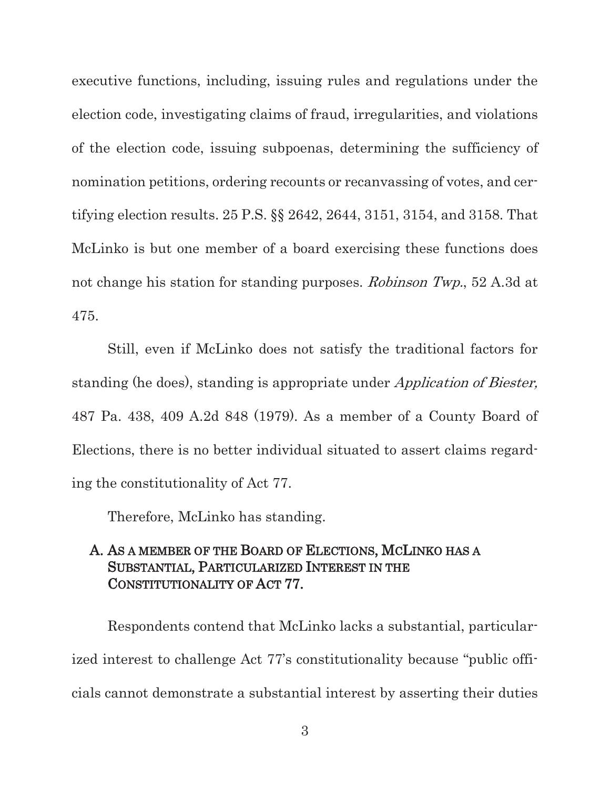executive functions, including, issuing rules and regulations under the election code, investigating claims of fraud, irregularities, and violations of the election code, issuing subpoenas, determining the sufficiency of nomination petitions, ordering recounts or recanvassing of votes, and certifying election results. 25 P.S. §§ 2642, 2644, 3151, 3154, and 3158. That McLinko is but one member of a board exercising these functions does not change his station for standing purposes. Robinson Twp., 52 A.3d at 475.

 Still, even if McLinko does not satisfy the traditional factors for standing (he does), standing is appropriate under *Application of Biester*, 487 Pa. 438, 409 A.2d 848 (1979). As a member of a County Board of Elections, there is no better individual situated to assert claims regarding the constitutionality of Act 77.

Therefore, McLinko has standing.

## A. AS A MEMBER OF THE BOARD OF ELECTIONS, MCLINKO HAS A SUBSTANTIAL, PARTICULARIZED INTEREST IN THE CONSTITUTIONALITY OF ACT 77.

Respondents contend that McLinko lacks a substantial, particularized interest to challenge Act 77's constitutionality because "public officials cannot demonstrate a substantial interest by asserting their duties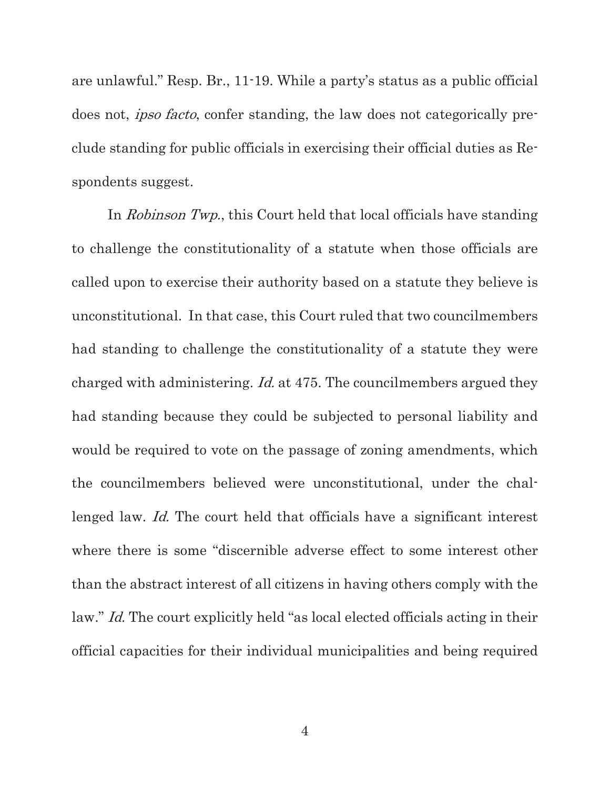are unlawful." Resp. Br., 11-19. While a party's status as a public official does not, *ipso facto*, confer standing, the law does not categorically preclude standing for public officials in exercising their official duties as Respondents suggest.

In Robinson Twp., this Court held that local officials have standing to challenge the constitutionality of a statute when those officials are called upon to exercise their authority based on a statute they believe is unconstitutional. In that case, this Court ruled that two councilmembers had standing to challenge the constitutionality of a statute they were charged with administering. *Id.* at 475. The councilmembers argued they had standing because they could be subjected to personal liability and would be required to vote on the passage of zoning amendments, which the councilmembers believed were unconstitutional, under the challenged law. *Id.* The court held that officials have a significant interest where there is some "discernible adverse effect to some interest other than the abstract interest of all citizens in having others comply with the law." *Id.* The court explicitly held "as local elected officials acting in their official capacities for their individual municipalities and being required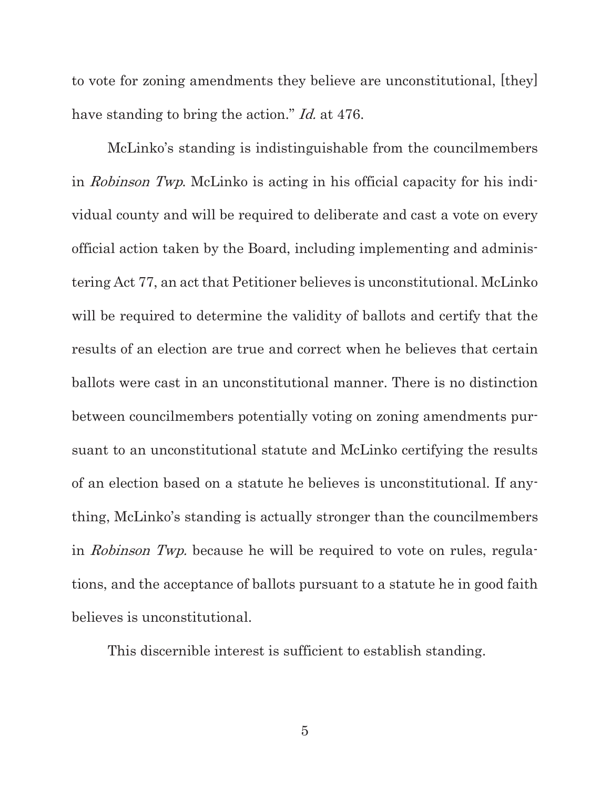to vote for zoning amendments they believe are unconstitutional, [they] have standing to bring the action." *Id.* at 476.

McLinko's standing is indistinguishable from the councilmembers in Robinson Twp. McLinko is acting in his official capacity for his individual county and will be required to deliberate and cast a vote on every official action taken by the Board, including implementing and administering Act 77, an act that Petitioner believes is unconstitutional. McLinko will be required to determine the validity of ballots and certify that the results of an election are true and correct when he believes that certain ballots were cast in an unconstitutional manner. There is no distinction between councilmembers potentially voting on zoning amendments pursuant to an unconstitutional statute and McLinko certifying the results of an election based on a statute he believes is unconstitutional. If anything, McLinko's standing is actually stronger than the councilmembers in *Robinson Twp.* because he will be required to vote on rules, regulations, and the acceptance of ballots pursuant to a statute he in good faith believes is unconstitutional.

This discernible interest is sufficient to establish standing.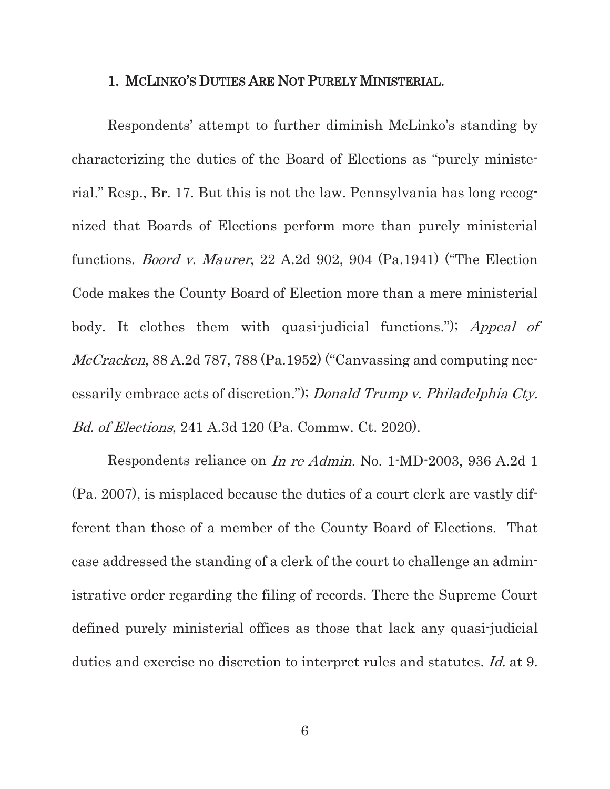#### 1. MCLINKO'S DUTIES ARE NOT PURELY MINISTERIAL.

Respondents' attempt to further diminish McLinko's standing by characterizing the duties of the Board of Elections as "purely ministerial." Resp., Br. 17. But this is not the law. Pennsylvania has long recognized that Boards of Elections perform more than purely ministerial functions. Boord v. Maurer, 22 A.2d 902, 904 (Pa.1941) ("The Election Code makes the County Board of Election more than a mere ministerial body. It clothes them with quasi-judicial functions."); Appeal of McCracken, 88 A.2d 787, 788 (Pa.1952) ("Canvassing and computing necessarily embrace acts of discretion."); Donald Trump v. Philadelphia Cty. Bd. of Elections, 241 A.3d 120 (Pa. Commw. Ct. 2020).

Respondents reliance on In re Admin. No. 1-MD-2003, 936 A.2d 1 (Pa. 2007), is misplaced because the duties of a court clerk are vastly different than those of a member of the County Board of Elections. That case addressed the standing of a clerk of the court to challenge an administrative order regarding the filing of records. There the Supreme Court defined purely ministerial offices as those that lack any quasi-judicial duties and exercise no discretion to interpret rules and statutes. Id. at 9.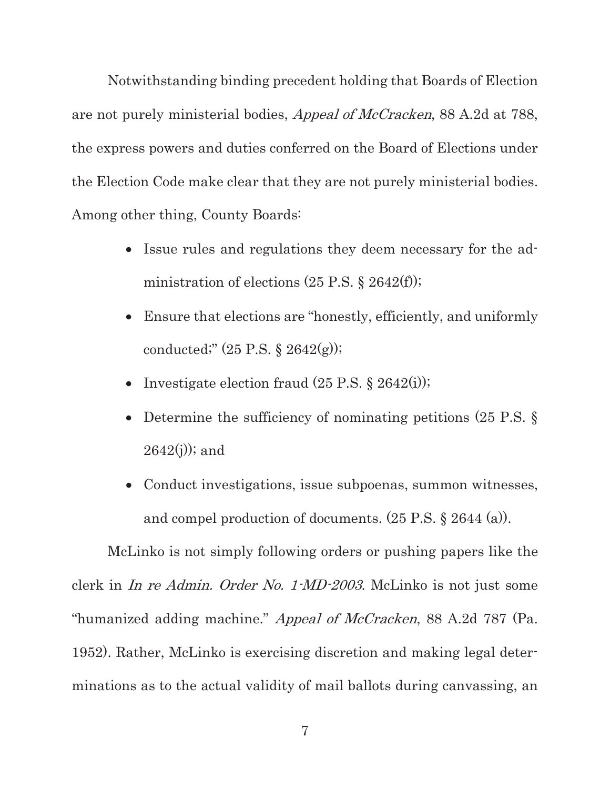Notwithstanding binding precedent holding that Boards of Election are not purely ministerial bodies, Appeal of McCracken, 88 A.2d at 788, the express powers and duties conferred on the Board of Elections under the Election Code make clear that they are not purely ministerial bodies. Among other thing, County Boards:

- Issue rules and regulations they deem necessary for the administration of elections  $(25 \text{ P.S.} \text{ } \text{\$} 2642 \text{ (f)});$
- Ensure that elections are "honestly, efficiently, and uniformly conducted;"  $(25 \text{ P.S.} \S 2642(g));$
- Investigate election fraud  $(25 \text{ P.S. } § 2642(i));$
- Determine the sufficiency of nominating petitions (25 P.S.  $\S$ )  $2642(j)$ ; and
- Conduct investigations, issue subpoenas, summon witnesses, and compel production of documents. (25 P.S. § 2644 (a)).

McLinko is not simply following orders or pushing papers like the clerk in In re Admin. Order No. 1-MD-2003. McLinko is not just some "humanized adding machine." *Appeal of McCracken*, 88 A.2d 787 (Pa. 1952). Rather, McLinko is exercising discretion and making legal determinations as to the actual validity of mail ballots during canvassing, an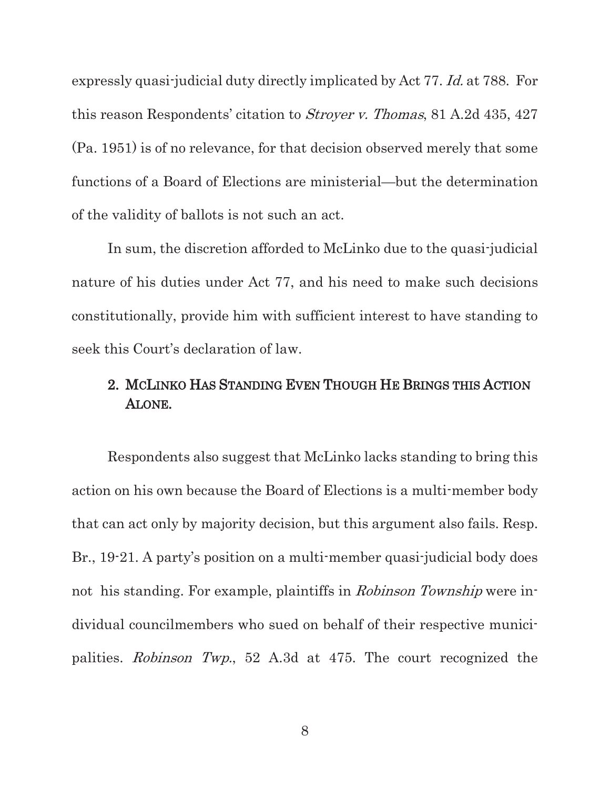expressly quasi-judicial duty directly implicated by Act 77. Id. at 788. For this reason Respondents' citation to Stroyer v. Thomas, 81 A.2d 435, 427 (Pa. 1951) is of no relevance, for that decision observed merely that some functions of a Board of Elections are ministerial—but the determination of the validity of ballots is not such an act.

In sum, the discretion afforded to McLinko due to the quasi-judicial nature of his duties under Act 77, and his need to make such decisions constitutionally, provide him with sufficient interest to have standing to seek this Court's declaration of law.

# 2. MCLINKO HAS STANDING EVEN THOUGH HE BRINGS THIS ACTION ALONE.

Respondents also suggest that McLinko lacks standing to bring this action on his own because the Board of Elections is a multi-member body that can act only by majority decision, but this argument also fails. Resp. Br., 19-21. A party's position on a multi-member quasi-judicial body does not his standing. For example, plaintiffs in *Robinson Township* were individual councilmembers who sued on behalf of their respective municipalities. Robinson Twp., 52 A.3d at 475. The court recognized the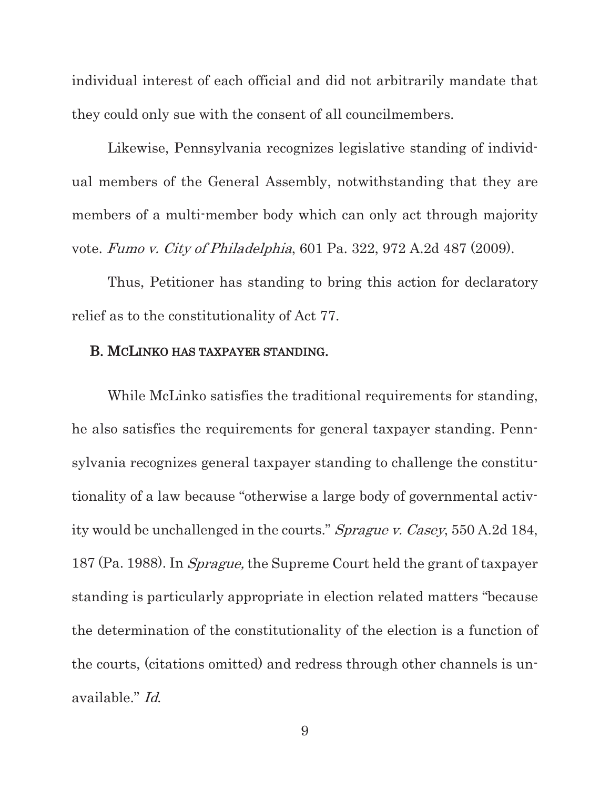individual interest of each official and did not arbitrarily mandate that they could only sue with the consent of all councilmembers.

Likewise, Pennsylvania recognizes legislative standing of individual members of the General Assembly, notwithstanding that they are members of a multi-member body which can only act through majority vote. Fumo v. City of Philadelphia, 601 Pa. 322, 972 A.2d 487 (2009).

Thus, Petitioner has standing to bring this action for declaratory relief as to the constitutionality of Act 77.

### B. MCLINKO HAS TAXPAYER STANDING.

While McLinko satisfies the traditional requirements for standing, he also satisfies the requirements for general taxpayer standing. Pennsylvania recognizes general taxpayer standing to challenge the constitutionality of a law because "otherwise a large body of governmental activity would be unchallenged in the courts." Sprague v. Casey, 550 A.2d 184, 187 (Pa. 1988). In Sprague, the Supreme Court held the grant of taxpayer standing is particularly appropriate in election related matters "because the determination of the constitutionality of the election is a function of the courts, (citations omitted) and redress through other channels is unavailable." Id.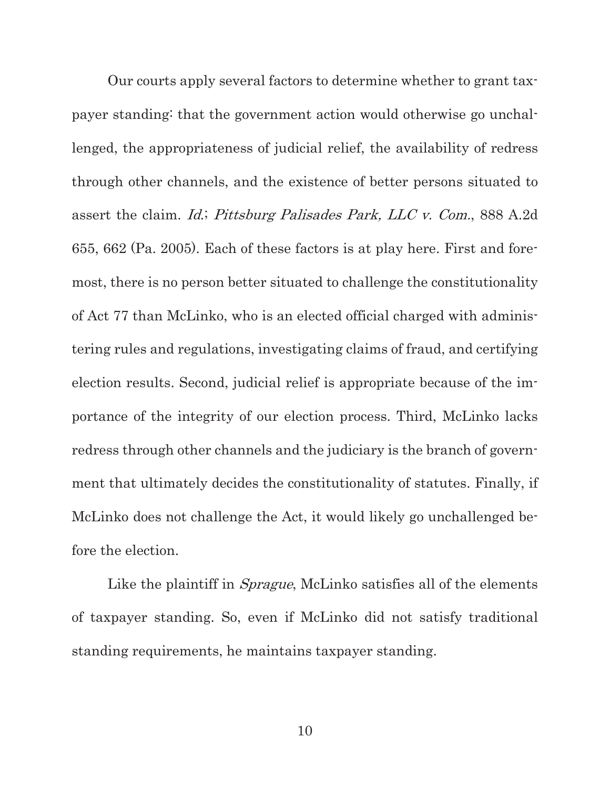Our courts apply several factors to determine whether to grant taxpayer standing: that the government action would otherwise go unchallenged, the appropriateness of judicial relief, the availability of redress through other channels, and the existence of better persons situated to assert the claim. Id.; Pittsburg Palisades Park, LLC v. Com., 888 A.2d 655, 662 (Pa. 2005). Each of these factors is at play here. First and foremost, there is no person better situated to challenge the constitutionality of Act 77 than McLinko, who is an elected official charged with administering rules and regulations, investigating claims of fraud, and certifying election results. Second, judicial relief is appropriate because of the importance of the integrity of our election process. Third, McLinko lacks redress through other channels and the judiciary is the branch of government that ultimately decides the constitutionality of statutes. Finally, if McLinko does not challenge the Act, it would likely go unchallenged before the election.

Like the plaintiff in *Sprague*, McLinko satisfies all of the elements of taxpayer standing. So, even if McLinko did not satisfy traditional standing requirements, he maintains taxpayer standing.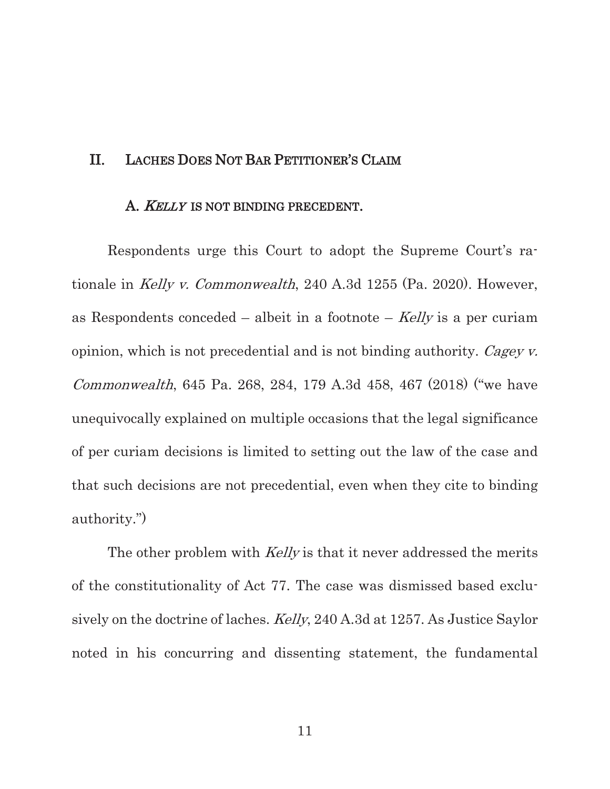### II. LACHES DOES NOT BAR PETITIONER'S CLAIM

#### A. *KELLY* IS NOT BINDING PRECEDENT.

Respondents urge this Court to adopt the Supreme Court's rationale in Kelly v. Commonwealth, 240 A.3d 1255 (Pa. 2020). However, as Respondents conceded – albeit in a footnote –  $Kelly$  is a per curiam opinion, which is not precedential and is not binding authority. Cagey  $\nu$ . Commonwealth, 645 Pa. 268, 284, 179 A.3d 458, 467 (2018) ("we have unequivocally explained on multiple occasions that the legal significance of per curiam decisions is limited to setting out the law of the case and that such decisions are not precedential, even when they cite to binding authority.")

The other problem with *Kelly* is that it never addressed the merits of the constitutionality of Act 77. The case was dismissed based exclusively on the doctrine of laches. Kelly, 240 A.3d at 1257. As Justice Saylor noted in his concurring and dissenting statement, the fundamental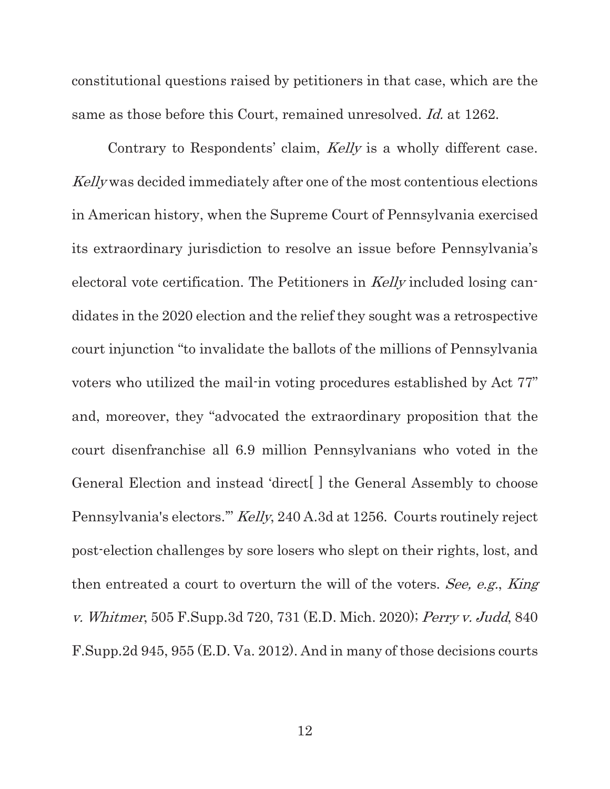constitutional questions raised by petitioners in that case, which are the same as those before this Court, remained unresolved. *Id.* at 1262.

Contrary to Respondents' claim, Kelly is a wholly different case. Kelly was decided immediately after one of the most contentious elections in American history, when the Supreme Court of Pennsylvania exercised its extraordinary jurisdiction to resolve an issue before Pennsylvania's electoral vote certification. The Petitioners in Kelly included losing candidates in the 2020 election and the relief they sought was a retrospective court injunction "to invalidate the ballots of the millions of Pennsylvania voters who utilized the mail-in voting procedures established by Act 77" and, moreover, they "advocated the extraordinary proposition that the court disenfranchise all 6.9 million Pennsylvanians who voted in the General Election and instead 'direct[ ] the General Assembly to choose Pennsylvania's electors.'" Kelly, 240 A.3d at 1256. Courts routinely reject post-election challenges by sore losers who slept on their rights, lost, and then entreated a court to overturn the will of the voters. See, e.g., King v. Whitmer, 505 F.Supp.3d 720, 731 (E.D. Mich. 2020); Perry v. Judd, 840 F.Supp.2d 945, 955 (E.D. Va. 2012). And in many of those decisions courts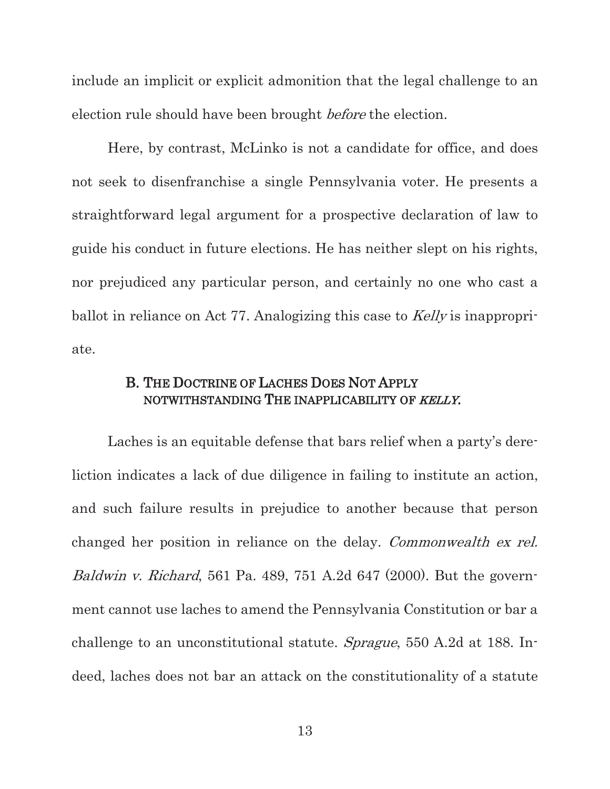include an implicit or explicit admonition that the legal challenge to an election rule should have been brought before the election.

Here, by contrast, McLinko is not a candidate for office, and does not seek to disenfranchise a single Pennsylvania voter. He presents a straightforward legal argument for a prospective declaration of law to guide his conduct in future elections. He has neither slept on his rights, nor prejudiced any particular person, and certainly no one who cast a ballot in reliance on Act 77. Analogizing this case to Kelly is inappropriate.

## B. THE DOCTRINE OF LACHES DOES NOT APPLY NOTWITHSTANDING THE INAPPLICABILITY OF KELLY.

Laches is an equitable defense that bars relief when a party's dereliction indicates a lack of due diligence in failing to institute an action, and such failure results in prejudice to another because that person changed her position in reliance on the delay. Commonwealth ex rel. Baldwin v. Richard, 561 Pa. 489, 751 A.2d 647 (2000). But the government cannot use laches to amend the Pennsylvania Constitution or bar a challenge to an unconstitutional statute. Sprague, 550 A.2d at 188. Indeed, laches does not bar an attack on the constitutionality of a statute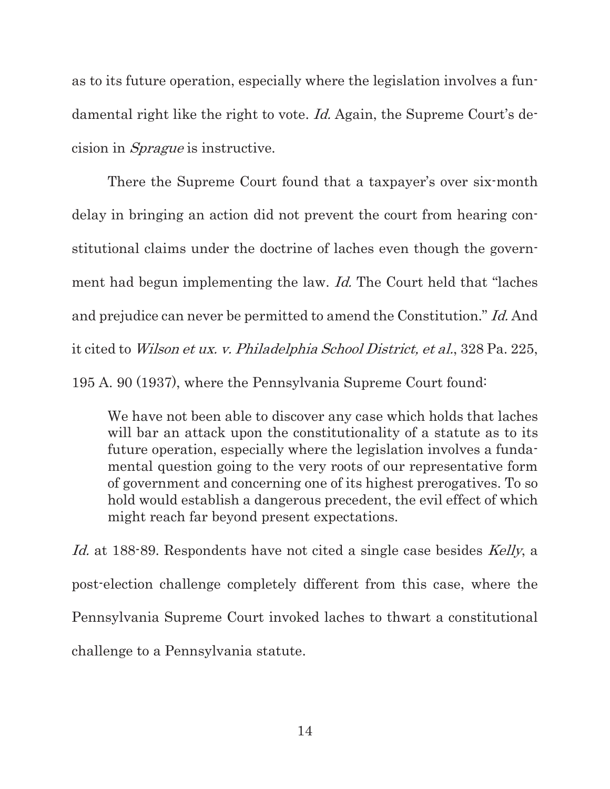as to its future operation, especially where the legislation involves a fundamental right like the right to vote. Id. Again, the Supreme Court's decision in Sprague is instructive.

There the Supreme Court found that a taxpayer's over six-month delay in bringing an action did not prevent the court from hearing constitutional claims under the doctrine of laches even though the government had begun implementing the law. *Id.* The Court held that "laches" and prejudice can never be permitted to amend the Constitution." Id. And it cited to Wilson et ux. v. Philadelphia School District, et al., 328 Pa. 225, 195 A. 90 (1937), where the Pennsylvania Supreme Court found:

We have not been able to discover any case which holds that laches will bar an attack upon the constitutionality of a statute as to its future operation, especially where the legislation involves a fundamental question going to the very roots of our representative form of government and concerning one of its highest prerogatives. To so hold would establish a dangerous precedent, the evil effect of which might reach far beyond present expectations.

Id. at 188-89. Respondents have not cited a single case besides Kelly, a post-election challenge completely different from this case, where the Pennsylvania Supreme Court invoked laches to thwart a constitutional challenge to a Pennsylvania statute.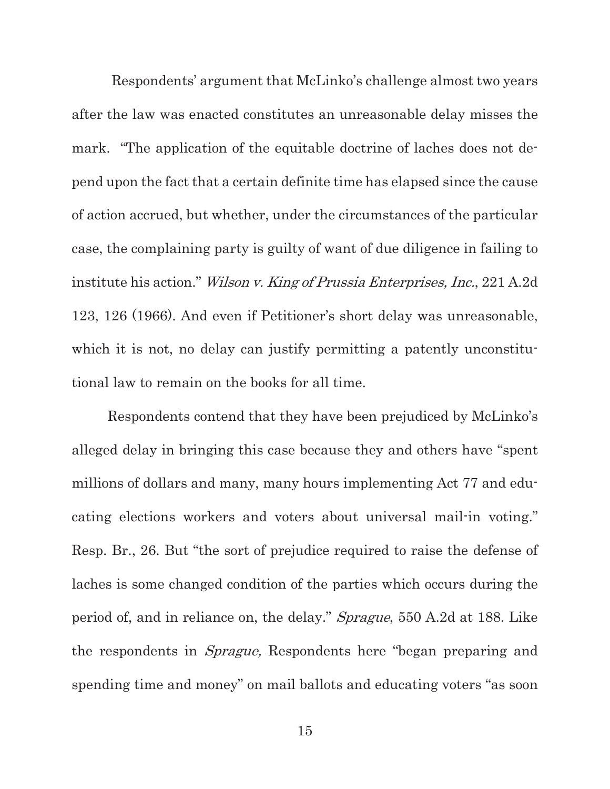Respondents' argument that McLinko's challenge almost two years after the law was enacted constitutes an unreasonable delay misses the mark. "The application of the equitable doctrine of laches does not depend upon the fact that a certain definite time has elapsed since the cause of action accrued, but whether, under the circumstances of the particular case, the complaining party is guilty of want of due diligence in failing to institute his action." Wilson v. King of Prussia Enterprises, Inc., 221 A.2d 123, 126 (1966). And even if Petitioner's short delay was unreasonable, which it is not, no delay can justify permitting a patently unconstitutional law to remain on the books for all time.

Respondents contend that they have been prejudiced by McLinko's alleged delay in bringing this case because they and others have "spent millions of dollars and many, many hours implementing Act 77 and educating elections workers and voters about universal mail-in voting." Resp. Br., 26. But "the sort of prejudice required to raise the defense of laches is some changed condition of the parties which occurs during the period of, and in reliance on, the delay." Sprague, 550 A.2d at 188. Like the respondents in Sprague, Respondents here "began preparing and spending time and money" on mail ballots and educating voters "as soon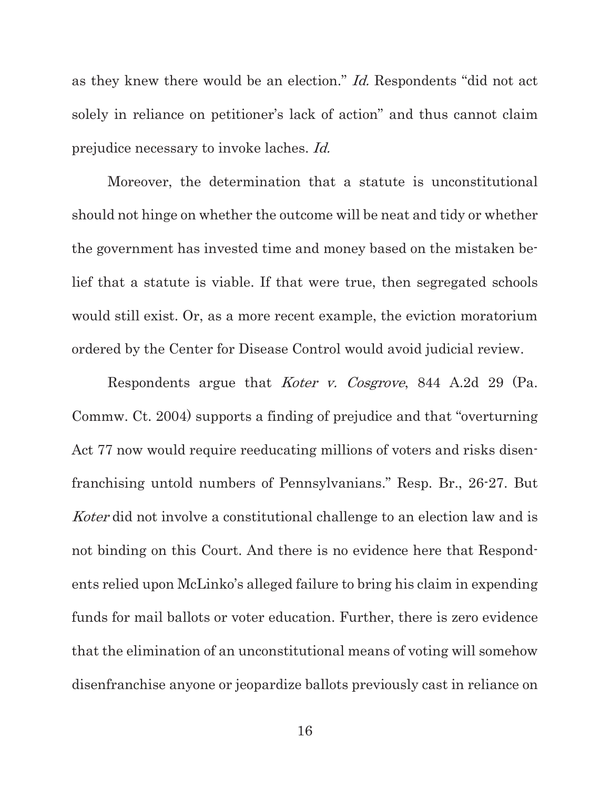as they knew there would be an election." Id. Respondents "did not act solely in reliance on petitioner's lack of action" and thus cannot claim prejudice necessary to invoke laches. Id.

Moreover, the determination that a statute is unconstitutional should not hinge on whether the outcome will be neat and tidy or whether the government has invested time and money based on the mistaken belief that a statute is viable. If that were true, then segregated schools would still exist. Or, as a more recent example, the eviction moratorium ordered by the Center for Disease Control would avoid judicial review.

Respondents argue that *Koter v. Cosgrove*, 844 A.2d 29 (Pa.) Commw. Ct. 2004) supports a finding of prejudice and that "overturning Act 77 now would require reeducating millions of voters and risks disenfranchising untold numbers of Pennsylvanians." Resp. Br., 26-27. But Koter did not involve a constitutional challenge to an election law and is not binding on this Court. And there is no evidence here that Respondents relied upon McLinko's alleged failure to bring his claim in expending funds for mail ballots or voter education. Further, there is zero evidence that the elimination of an unconstitutional means of voting will somehow disenfranchise anyone or jeopardize ballots previously cast in reliance on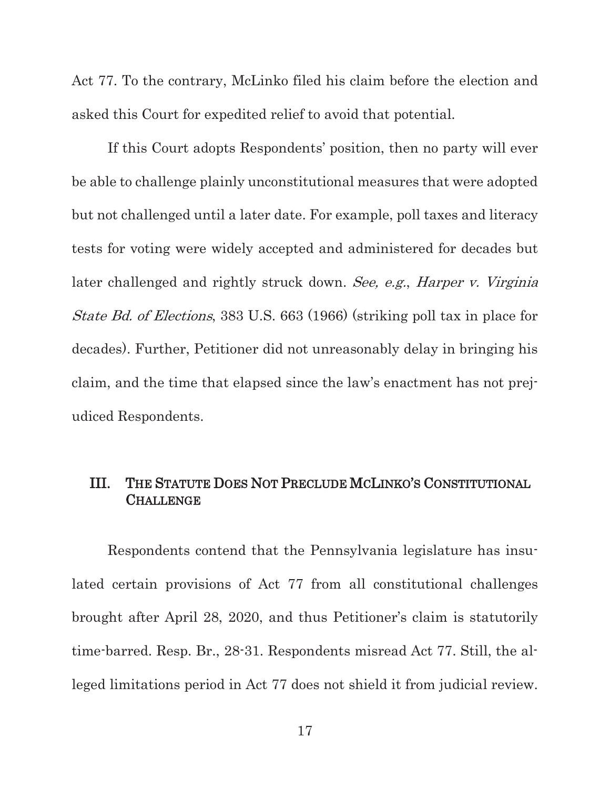Act 77. To the contrary, McLinko filed his claim before the election and asked this Court for expedited relief to avoid that potential.

If this Court adopts Respondents' position, then no party will ever be able to challenge plainly unconstitutional measures that were adopted but not challenged until a later date. For example, poll taxes and literacy tests for voting were widely accepted and administered for decades but later challenged and rightly struck down. See, e.g., Harper v. Virginia State Bd. of Elections, 383 U.S. 663 (1966) (striking poll tax in place for decades). Further, Petitioner did not unreasonably delay in bringing his claim, and the time that elapsed since the law's enactment has not prejudiced Respondents.

## III. THE STATUTE DOES NOT PRECLUDE MCLINKO'S CONSTITUTIONAL **CHALLENGE**

Respondents contend that the Pennsylvania legislature has insulated certain provisions of Act 77 from all constitutional challenges brought after April 28, 2020, and thus Petitioner's claim is statutorily time-barred. Resp. Br., 28-31. Respondents misread Act 77. Still, the alleged limitations period in Act 77 does not shield it from judicial review.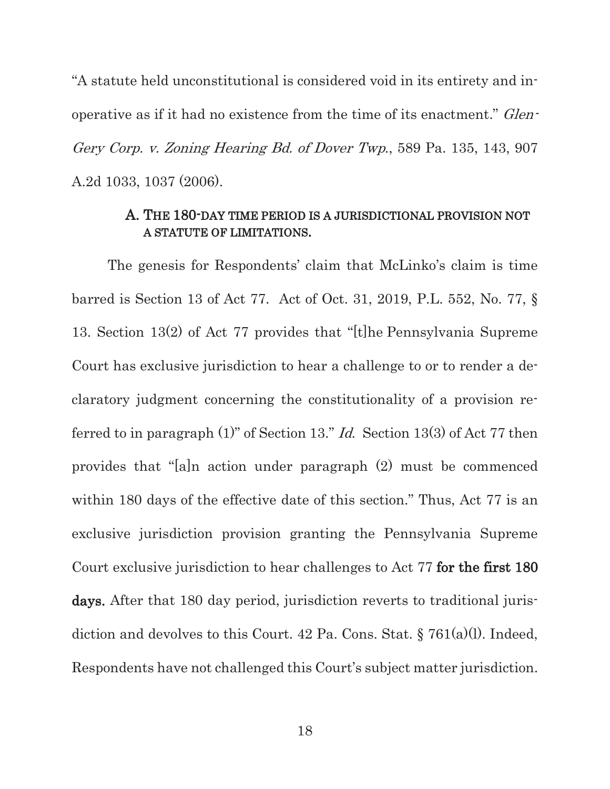"A statute held unconstitutional is considered void in its entirety and inoperative as if it had no existence from the time of its enactment." Glen-Gery Corp. v. Zoning Hearing Bd. of Dover Twp., 589 Pa. 135, 143, 907 A.2d 1033, 1037 (2006).

### A. THE 180-DAY TIME PERIOD IS A JURISDICTIONAL PROVISION NOT A STATUTE OF LIMITATIONS.

The genesis for Respondents' claim that McLinko's claim is time barred is Section 13 of Act 77. Act of Oct. 31, 2019, P.L. 552, No. 77, § 13. Section 13(2) of Act 77 provides that "[t]he Pennsylvania Supreme Court has exclusive jurisdiction to hear a challenge to or to render a declaratory judgment concerning the constitutionality of a provision referred to in paragraph  $(1)$ " of Section 13." *Id.* Section 13(3) of Act 77 then provides that "[a]n action under paragraph (2) must be commenced within 180 days of the effective date of this section." Thus, Act 77 is an exclusive jurisdiction provision granting the Pennsylvania Supreme Court exclusive jurisdiction to hear challenges to Act 77 for the first 180 days. After that 180 day period, jurisdiction reverts to traditional jurisdiction and devolves to this Court. 42 Pa. Cons. Stat. § 761(a)(l). Indeed, Respondents have not challenged this Court's subject matter jurisdiction.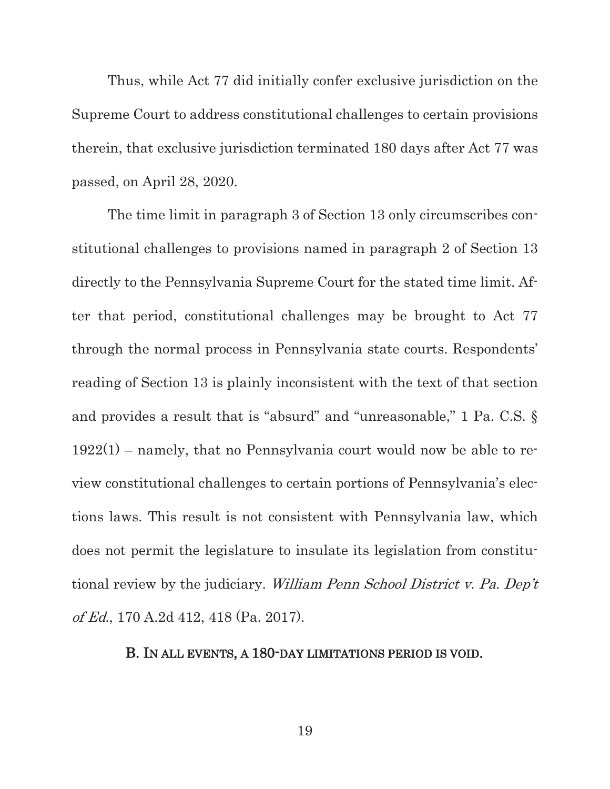Thus, while Act 77 did initially confer exclusive jurisdiction on the Supreme Court to address constitutional challenges to certain provisions therein, that exclusive jurisdiction terminated 180 days after Act 77 was passed, on April 28, 2020.

The time limit in paragraph 3 of Section 13 only circumscribes constitutional challenges to provisions named in paragraph 2 of Section 13 directly to the Pennsylvania Supreme Court for the stated time limit. After that period, constitutional challenges may be brought to Act 77 through the normal process in Pennsylvania state courts. Respondents' reading of Section 13 is plainly inconsistent with the text of that section and provides a result that is "absurd" and "unreasonable," 1 Pa. C.S. §  $1922(1)$  – namely, that no Pennsylvania court would now be able to review constitutional challenges to certain portions of Pennsylvania's elections laws. This result is not consistent with Pennsylvania law, which does not permit the legislature to insulate its legislation from constitutional review by the judiciary. William Penn School District v. Pa. Dep't of Ed., 170 A.2d 412, 418 (Pa. 2017).

#### B. IN ALL EVENTS, A 180-DAY LIMITATIONS PERIOD IS VOID.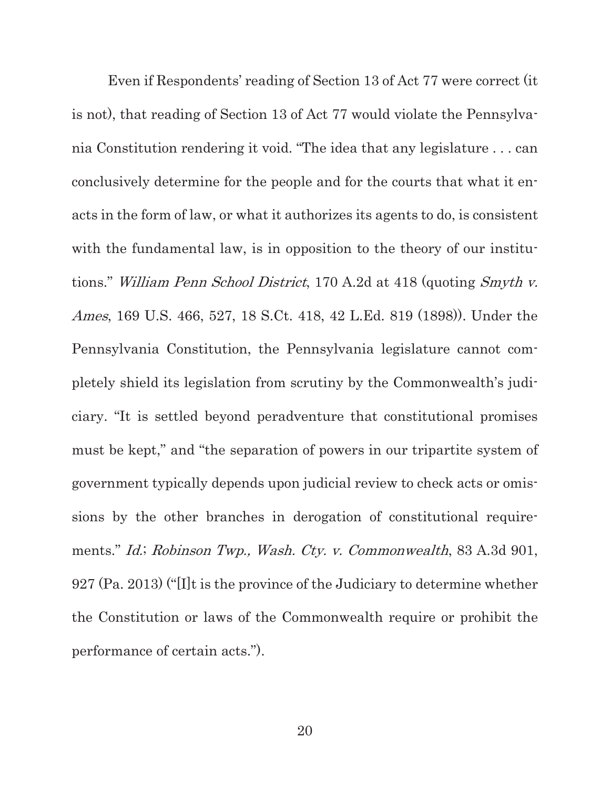Even if Respondents' reading of Section 13 of Act 77 were correct (it is not), that reading of Section 13 of Act 77 would violate the Pennsylvania Constitution rendering it void. "The idea that any legislature . . . can conclusively determine for the people and for the courts that what it enacts in the form of law, or what it authorizes its agents to do, is consistent with the fundamental law, is in opposition to the theory of our institutions." William Penn School District, 170 A.2d at 418 (quoting Smyth v. Ames, 169 U.S. 466, 527, 18 S.Ct. 418, 42 L.Ed. 819 (1898)). Under the Pennsylvania Constitution, the Pennsylvania legislature cannot completely shield its legislation from scrutiny by the Commonwealth's judiciary. "It is settled beyond peradventure that constitutional promises must be kept," and "the separation of powers in our tripartite system of government typically depends upon judicial review to check acts or omissions by the other branches in derogation of constitutional requirements." Id.; Robinson Twp., Wash. Cty. v. Commonwealth, 83 A.3d 901, 927 (Pa. 2013) ("[I]t is the province of the Judiciary to determine whether the Constitution or laws of the Commonwealth require or prohibit the performance of certain acts.").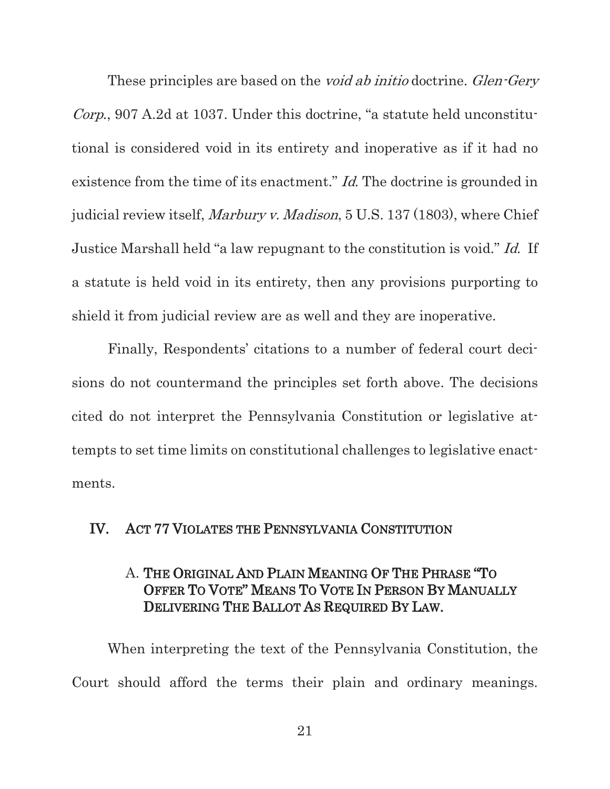These principles are based on the *void ab initio* doctrine. *Glen-Gery* Corp., 907 A.2d at 1037. Under this doctrine, "a statute held unconstitutional is considered void in its entirety and inoperative as if it had no existence from the time of its enactment." *Id*. The doctrine is grounded in judicial review itself, Marbury v. Madison, 5 U.S. 137 (1803), where Chief Justice Marshall held "a law repugnant to the constitution is void." Id. If a statute is held void in its entirety, then any provisions purporting to shield it from judicial review are as well and they are inoperative.

Finally, Respondents' citations to a number of federal court decisions do not countermand the principles set forth above. The decisions cited do not interpret the Pennsylvania Constitution or legislative attempts to set time limits on constitutional challenges to legislative enactments.

#### IV. ACT 77 VIOLATES THE PENNSYLVANIA CONSTITUTION

## A. THE ORIGINAL AND PLAIN MEANING OF THE PHRASE "TO OFFER TO VOTE" MEANS TO VOTE IN PERSON BY MANUALLY DELIVERING THE BALLOT AS REQUIRED BY LAW.

When interpreting the text of the Pennsylvania Constitution, the Court should afford the terms their plain and ordinary meanings.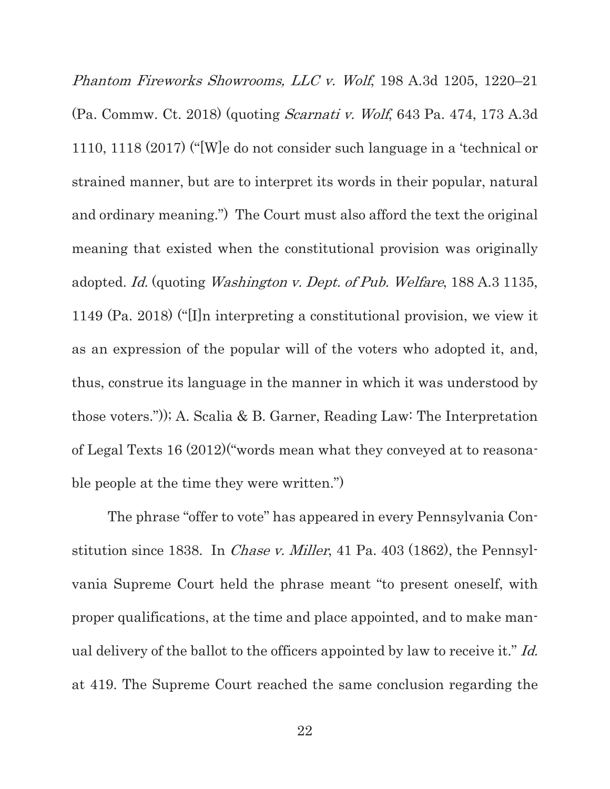Phantom Fireworks Showrooms, LLC v. Wolf, 198 A.3d 1205, 1220–21 (Pa. Commw. Ct. 2018) (quoting Scarnati v. Wolf, 643 Pa. 474, 173 A.3d 1110, 1118 (2017) ("[W]e do not consider such language in a 'technical or strained manner, but are to interpret its words in their popular, natural and ordinary meaning.") The Court must also afford the text the original meaning that existed when the constitutional provision was originally adopted. Id. (quoting Washington v. Dept. of Pub. Welfare, 188 A.3 1135, 1149 (Pa. 2018) ("[I]n interpreting a constitutional provision, we view it as an expression of the popular will of the voters who adopted it, and, thus, construe its language in the manner in which it was understood by those voters.")); A. Scalia & B. Garner, Reading Law: The Interpretation of Legal Texts 16 (2012)("words mean what they conveyed at to reasonable people at the time they were written.")

The phrase "offer to vote" has appeared in every Pennsylvania Constitution since 1838. In *Chase v. Miller*, 41 Pa. 403 (1862), the Pennsylvania Supreme Court held the phrase meant "to present oneself, with proper qualifications, at the time and place appointed, and to make manual delivery of the ballot to the officers appointed by law to receive it." Id. at 419. The Supreme Court reached the same conclusion regarding the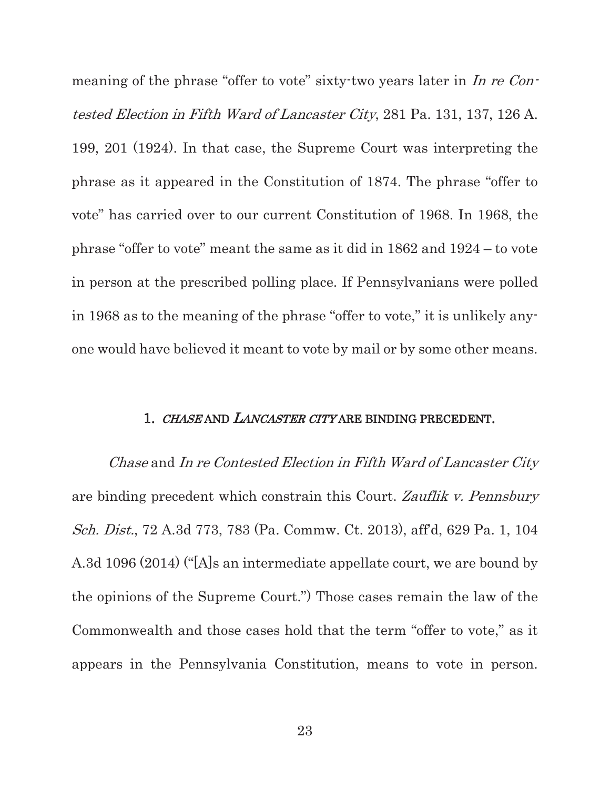meaning of the phrase "offer to vote" sixty-two years later in In re Contested Election in Fifth Ward of Lancaster City, 281 Pa. 131, 137, 126 A. 199, 201 (1924). In that case, the Supreme Court was interpreting the phrase as it appeared in the Constitution of 1874. The phrase "offer to vote" has carried over to our current Constitution of 1968. In 1968, the phrase "offer to vote" meant the same as it did in 1862 and 1924 – to vote in person at the prescribed polling place. If Pennsylvanians were polled in 1968 as to the meaning of the phrase "offer to vote," it is unlikely anyone would have believed it meant to vote by mail or by some other means.

#### 1. CHASE AND LANCASTER CITY ARE BINDING PRECEDENT.

Chase and In re Contested Election in Fifth Ward of Lancaster City are binding precedent which constrain this Court. Zauflik v. Pennsbury Sch. Dist., 72 A.3d 773, 783 (Pa. Commw. Ct. 2013), aff'd, 629 Pa. 1, 104 A.3d 1096 (2014) ("[A]s an intermediate appellate court, we are bound by the opinions of the Supreme Court.") Those cases remain the law of the Commonwealth and those cases hold that the term "offer to vote," as it appears in the Pennsylvania Constitution, means to vote in person.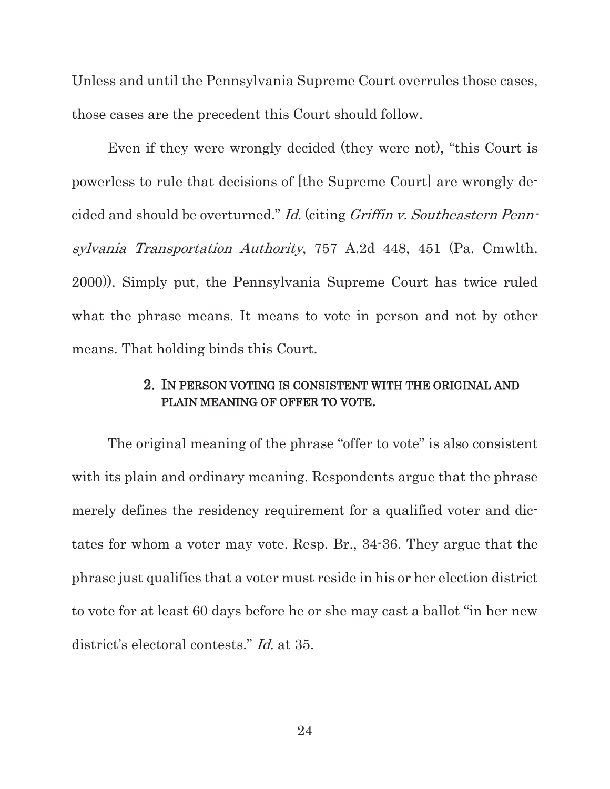Unless and until the Pennsylvania Supreme Court overrules those cases, those cases are the precedent this Court should follow.

Even if they were wrongly decided (they were not), "this Court is powerless to rule that decisions of [the Supreme Court] are wrongly decided and should be overturned." Id. (citing Griffin v. Southeastern Pennsylvania Transportation Authority, 757 A.2d 448, 451 (Pa. Cmwlth. 2000)). Simply put, the Pennsylvania Supreme Court has twice ruled what the phrase means. It means to vote in person and not by other means. That holding binds this Court.

### 2. IN PERSON VOTING IS CONSISTENT WITH THE ORIGINAL AND PLAIN MEANING OF OFFER TO VOTE.

The original meaning of the phrase "offer to vote" is also consistent with its plain and ordinary meaning. Respondents argue that the phrase merely defines the residency requirement for a qualified voter and dictates for whom a voter may vote. Resp. Br., 34-36. They argue that the phrase just qualifies that a voter must reside in his or her election district to vote for at least 60 days before he or she may cast a ballot "in her new district's electoral contests." *Id.* at 35.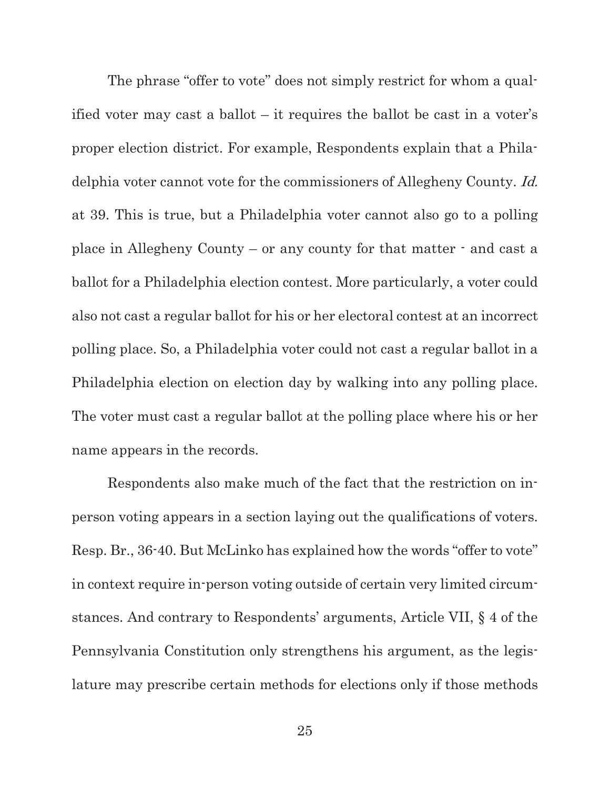The phrase "offer to vote" does not simply restrict for whom a qualified voter may cast a ballot – it requires the ballot be cast in a voter's proper election district. For example, Respondents explain that a Philadelphia voter cannot vote for the commissioners of Allegheny County. Id. at 39. This is true, but a Philadelphia voter cannot also go to a polling place in Allegheny County – or any county for that matter - and cast a ballot for a Philadelphia election contest. More particularly, a voter could also not cast a regular ballot for his or her electoral contest at an incorrect polling place. So, a Philadelphia voter could not cast a regular ballot in a Philadelphia election on election day by walking into any polling place. The voter must cast a regular ballot at the polling place where his or her name appears in the records.

Respondents also make much of the fact that the restriction on inperson voting appears in a section laying out the qualifications of voters. Resp. Br., 36-40. But McLinko has explained how the words "offer to vote" in context require in-person voting outside of certain very limited circumstances. And contrary to Respondents' arguments, Article VII, § 4 of the Pennsylvania Constitution only strengthens his argument, as the legislature may prescribe certain methods for elections only if those methods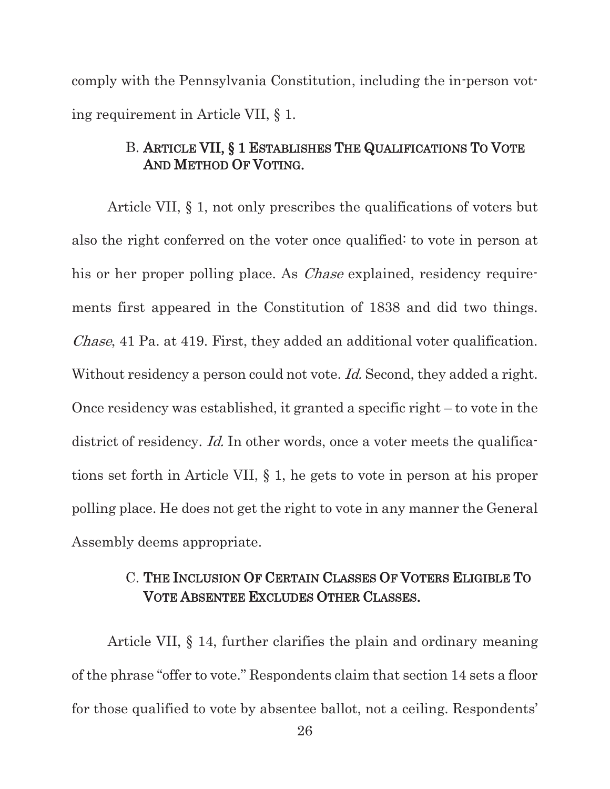comply with the Pennsylvania Constitution, including the in-person voting requirement in Article VII, § 1.

## B. ARTICLE VII, § 1 ESTABLISHES THE QUALIFICATIONS TO VOTE AND METHOD OF VOTING.

Article VII, § 1, not only prescribes the qualifications of voters but also the right conferred on the voter once qualified: to vote in person at his or her proper polling place. As *Chase* explained, residency requirements first appeared in the Constitution of 1838 and did two things. Chase, 41 Pa. at 419. First, they added an additional voter qualification. Without residency a person could not vote. *Id.* Second, they added a right. Once residency was established, it granted a specific right – to vote in the district of residency. *Id.* In other words, once a voter meets the qualifications set forth in Article VII, § 1, he gets to vote in person at his proper polling place. He does not get the right to vote in any manner the General Assembly deems appropriate.

# C. THE INCLUSION OF CERTAIN CLASSES OF VOTERS ELIGIBLE TO VOTE ABSENTEE EXCLUDES OTHER CLASSES.

Article VII, § 14, further clarifies the plain and ordinary meaning of the phrase "offer to vote." Respondents claim that section 14 sets a floor for those qualified to vote by absentee ballot, not a ceiling. Respondents'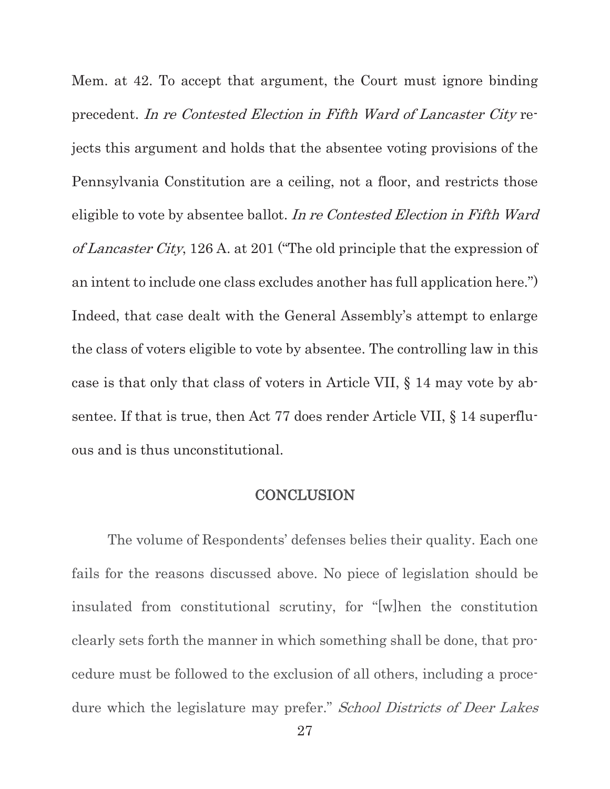Mem. at 42. To accept that argument, the Court must ignore binding precedent. In re Contested Election in Fifth Ward of Lancaster City rejects this argument and holds that the absentee voting provisions of the Pennsylvania Constitution are a ceiling, not a floor, and restricts those eligible to vote by absentee ballot. In re Contested Election in Fifth Ward of Lancaster City, 126 A. at 201 ("The old principle that the expression of an intent to include one class excludes another has full application here.") Indeed, that case dealt with the General Assembly's attempt to enlarge the class of voters eligible to vote by absentee. The controlling law in this case is that only that class of voters in Article VII, § 14 may vote by absentee. If that is true, then Act 77 does render Article VII, § 14 superfluous and is thus unconstitutional.

### **CONCLUSION**

The volume of Respondents' defenses belies their quality. Each one fails for the reasons discussed above. No piece of legislation should be insulated from constitutional scrutiny, for "[w]hen the constitution clearly sets forth the manner in which something shall be done, that procedure must be followed to the exclusion of all others, including a procedure which the legislature may prefer." School Districts of Deer Lakes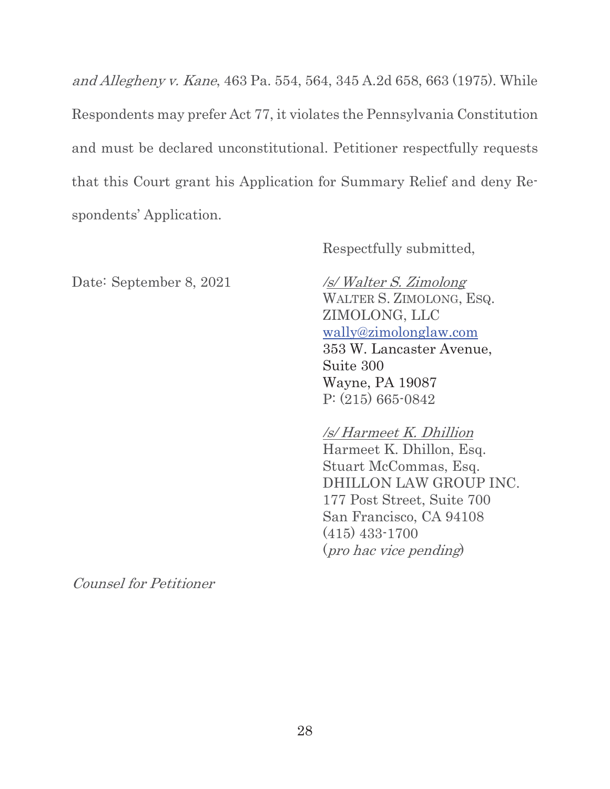and Allegheny v. Kane, 463 Pa. 554, 564, 345 A.2d 658, 663 (1975). While Respondents may prefer Act 77, it violates the Pennsylvania Constitution and must be declared unconstitutional. Petitioner respectfully requests that this Court grant his Application for Summary Relief and deny Respondents' Application.

Respectfully submitted,

Date: September 8, 2021 /s/ Walter S. Zimolong

 WALTER S. ZIMOLONG, ESQ. ZIMOLONG, LLC wally@zimolonglaw.com 353 W. Lancaster Avenue, Suite 300 Wayne, PA 19087 P: (215) 665-0842

 /s/ Harmeet K. Dhillion Harmeet K. Dhillon, Esq. Stuart McCommas, Esq. DHILLON LAW GROUP INC. 177 Post Street, Suite 700 San Francisco, CA 94108 (415) 433-1700 (pro hac vice pending)

Counsel for Petitioner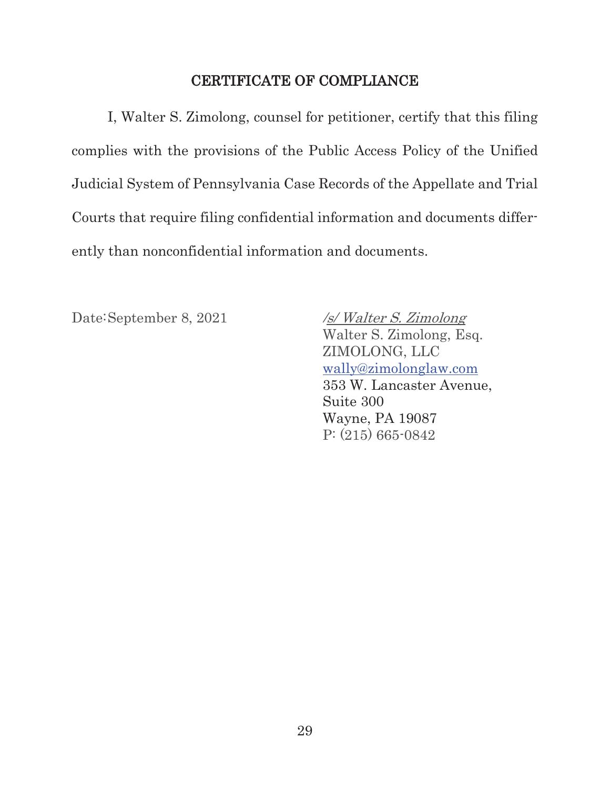## CERTIFICATE OF COMPLIANCE

I, Walter S. Zimolong, counsel for petitioner, certify that this filing complies with the provisions of the Public Access Policy of the Unified Judicial System of Pennsylvania Case Records of the Appellate and Trial Courts that require filing confidential information and documents differently than nonconfidential information and documents.

Date: September 8, 2021 /s/ Walter S. Zimolong

 Walter S. Zimolong, Esq. ZIMOLONG, LLC wally@zimolonglaw.com 353 W. Lancaster Avenue, Suite 300 Wayne, PA 19087 P: (215) 665-0842